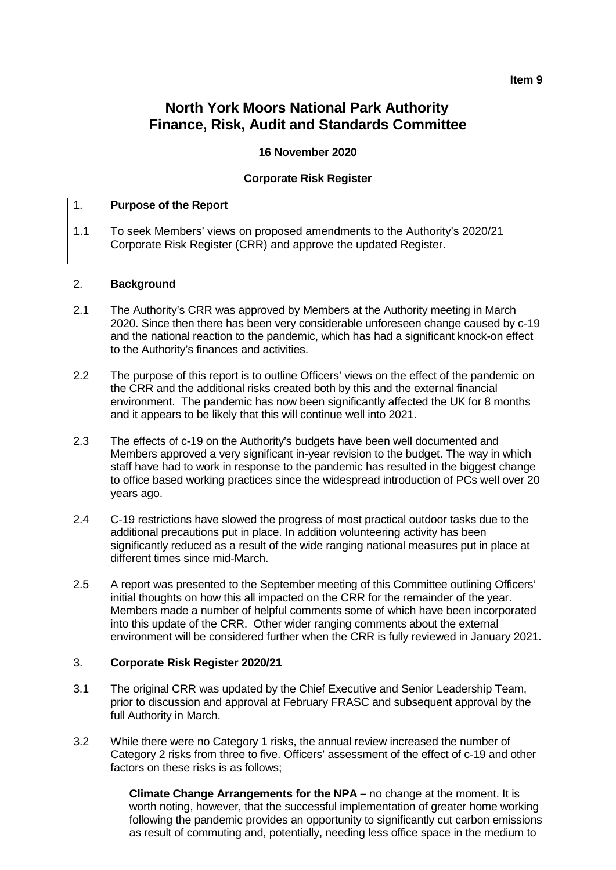#### **Item 9**

# **North York Moors National Park Authority Finance, Risk, Audit and Standards Committee**

#### **16 November 2020**

#### **Corporate Risk Register**

#### 1. **Purpose of the Report**

1.1 To seek Members' views on proposed amendments to the Authority's 2020/21 Corporate Risk Register (CRR) and approve the updated Register.

#### 2. **Background**

- 2.1 The Authority's CRR was approved by Members at the Authority meeting in March 2020. Since then there has been very considerable unforeseen change caused by c-19 and the national reaction to the pandemic, which has had a significant knock-on effect to the Authority's finances and activities.
- 2.2 The purpose of this report is to outline Officers' views on the effect of the pandemic on the CRR and the additional risks created both by this and the external financial environment. The pandemic has now been significantly affected the UK for 8 months and it appears to be likely that this will continue well into 2021.
- 2.3 The effects of c-19 on the Authority's budgets have been well documented and Members approved a very significant in-year revision to the budget. The way in which staff have had to work in response to the pandemic has resulted in the biggest change to office based working practices since the widespread introduction of PCs well over 20 years ago.
- 2.4 C-19 restrictions have slowed the progress of most practical outdoor tasks due to the additional precautions put in place. In addition volunteering activity has been significantly reduced as a result of the wide ranging national measures put in place at different times since mid-March.
- 2.5 A report was presented to the September meeting of this Committee outlining Officers' initial thoughts on how this all impacted on the CRR for the remainder of the year. Members made a number of helpful comments some of which have been incorporated into this update of the CRR. Other wider ranging comments about the external environment will be considered further when the CRR is fully reviewed in January 2021.

#### 3. **Corporate Risk Register 2020/21**

- 3.1 The original CRR was updated by the Chief Executive and Senior Leadership Team, prior to discussion and approval at February FRASC and subsequent approval by the full Authority in March.
- 3.2 While there were no Category 1 risks, the annual review increased the number of Category 2 risks from three to five. Officers' assessment of the effect of c-19 and other factors on these risks is as follows;

**Climate Change Arrangements for the NPA –** no change at the moment. It is worth noting, however, that the successful implementation of greater home working following the pandemic provides an opportunity to significantly cut carbon emissions as result of commuting and, potentially, needing less office space in the medium to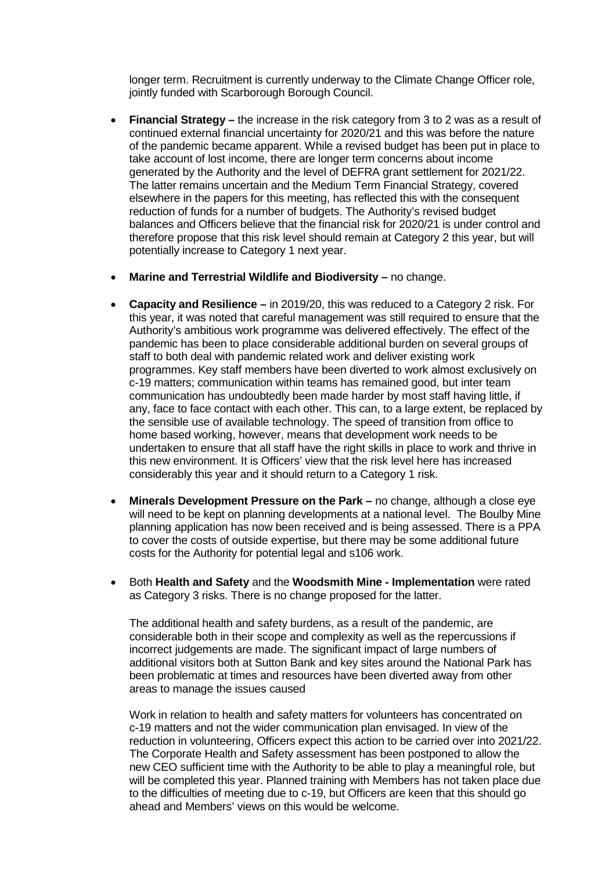longer term. Recruitment is currently underway to the Climate Change Officer role, jointly funded with Scarborough Borough Council.

- **Financial Strategy –** the increase in the risk category from 3 to 2 was as a result of continued external financial uncertainty for 2020/21 and this was before the nature of the pandemic became apparent. While a revised budget has been put in place to take account of lost income, there are longer term concerns about income generated by the Authority and the level of DEFRA grant settlement for 2021/22. The latter remains uncertain and the Medium Term Financial Strategy, covered elsewhere in the papers for this meeting, has reflected this with the consequent reduction of funds for a number of budgets. The Authority's revised budget balances and Officers believe that the financial risk for 2020/21 is under control and therefore propose that this risk level should remain at Category 2 this year, but will potentially increase to Category 1 next year.
- **Marine and Terrestrial Wildlife and Biodiversity –** no change.
- **Capacity and Resilience –** in 2019/20, this was reduced to a Category 2 risk. For this year, it was noted that careful management was still required to ensure that the Authority's ambitious work programme was delivered effectively. The effect of the pandemic has been to place considerable additional burden on several groups of staff to both deal with pandemic related work and deliver existing work programmes. Key staff members have been diverted to work almost exclusively on c-19 matters; communication within teams has remained good, but inter team communication has undoubtedly been made harder by most staff having little, if any, face to face contact with each other. This can, to a large extent, be replaced by the sensible use of available technology. The speed of transition from office to home based working, however, means that development work needs to be undertaken to ensure that all staff have the right skills in place to work and thrive in this new environment. It is Officers' view that the risk level here has increased considerably this year and it should return to a Category 1 risk.
- **Minerals Development Pressure on the Park –** no change, although a close eye will need to be kept on planning developments at a national level. The Boulby Mine planning application has now been received and is being assessed. There is a PPA to cover the costs of outside expertise, but there may be some additional future costs for the Authority for potential legal and s106 work.
- Both **Health and Safety** and the **Woodsmith Mine - Implementation** were rated as Category 3 risks. There is no change proposed for the latter.

The additional health and safety burdens, as a result of the pandemic, are considerable both in their scope and complexity as well as the repercussions if incorrect judgements are made. The significant impact of large numbers of additional visitors both at Sutton Bank and key sites around the National Park has been problematic at times and resources have been diverted away from other areas to manage the issues caused

Work in relation to health and safety matters for volunteers has concentrated on c-19 matters and not the wider communication plan envisaged. In view of the reduction in volunteering, Officers expect this action to be carried over into 2021/22. The Corporate Health and Safety assessment has been postponed to allow the new CEO sufficient time with the Authority to be able to play a meaningful role, but will be completed this year. Planned training with Members has not taken place due to the difficulties of meeting due to c-19, but Officers are keen that this should go ahead and Members' views on this would be welcome.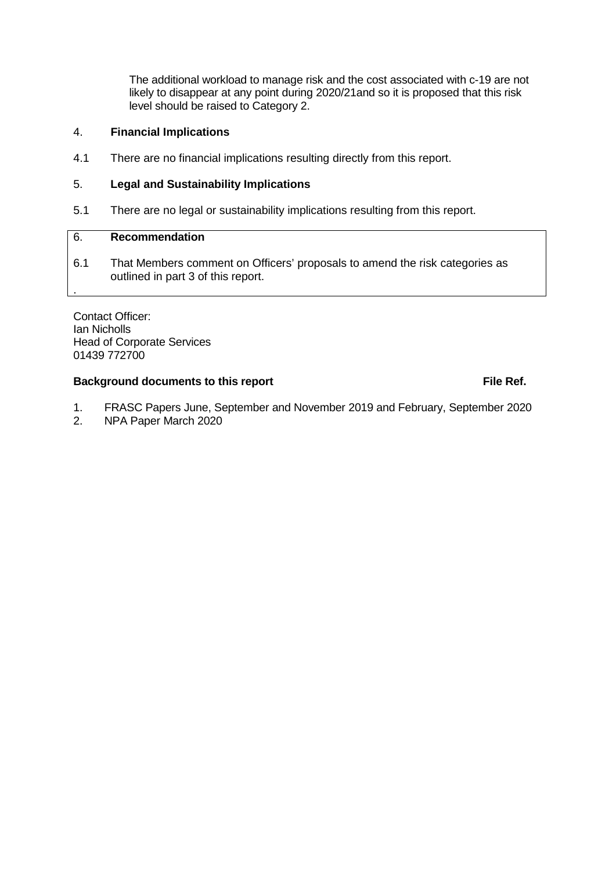The additional workload to manage risk and the cost associated with c-19 are not likely to disappear at any point during 2020/21and so it is proposed that this risk level should be raised to Category 2.

#### 4. **Financial Implications**

4.1 There are no financial implications resulting directly from this report.

#### 5. **Legal and Sustainability Implications**

5.1 There are no legal or sustainability implications resulting from this report.

## 6. **Recommendation**

.

6.1 That Members comment on Officers' proposals to amend the risk categories as outlined in part 3 of this report.

Contact Officer: Ian Nicholls Head of Corporate Services 01439 772700

#### **Background documents to this report File Ref. File Ref.**

- 1. FRASC Papers June, September and November 2019 and February, September 2020
- 2. NPA Paper March 2020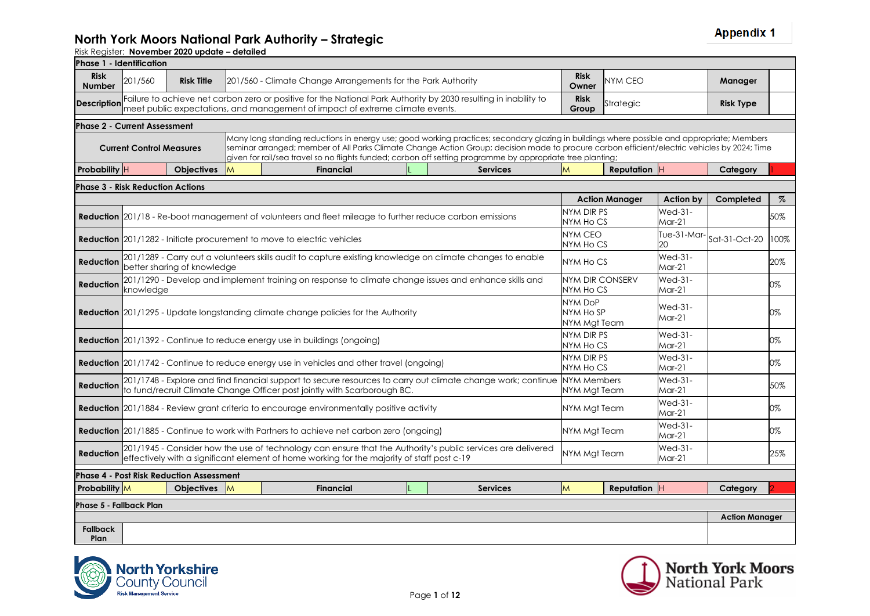| Phase 1 - Identification                |                                                                                                                                                                                                           |                                                 |          |                                                                                                                                                                                                                                                                                                                                                                                                           |  |  |                 |                                      |                       |                          |                       |      |
|-----------------------------------------|-----------------------------------------------------------------------------------------------------------------------------------------------------------------------------------------------------------|-------------------------------------------------|----------|-----------------------------------------------------------------------------------------------------------------------------------------------------------------------------------------------------------------------------------------------------------------------------------------------------------------------------------------------------------------------------------------------------------|--|--|-----------------|--------------------------------------|-----------------------|--------------------------|-----------------------|------|
| <b>Risk</b><br><b>Number</b>            | 201/560                                                                                                                                                                                                   | <b>Risk Title</b>                               |          | 201/560 - Climate Change Arrangements for the Park Authority                                                                                                                                                                                                                                                                                                                                              |  |  |                 | <b>Risk</b><br>Owner                 | <b>NYM CEO</b>        |                          | Manager               |      |
| <b>Description</b>                      |                                                                                                                                                                                                           |                                                 |          | Failure to achieve net carbon zero or positive for the National Park Authority by 2030 resulting in inability to<br>meet public expectations, and management of impact of extreme climate events.                                                                                                                                                                                                         |  |  |                 | <b>Risk</b><br>Group                 | Strategic             |                          | <b>Risk Type</b>      |      |
| <b>Phase 2 - Current Assessment</b>     |                                                                                                                                                                                                           |                                                 |          |                                                                                                                                                                                                                                                                                                                                                                                                           |  |  |                 |                                      |                       |                          |                       |      |
|                                         | <b>Current Control Measures</b>                                                                                                                                                                           |                                                 |          | Many long standing reductions in energy use; good working practices; secondary glazing in buildings where possible and appropriate; Members<br>seminar arranged; member of All Parks Climate Change Action Group; decision made to procure carbon efficient/electric vehicles by 2024; Time<br>given for rail/sea travel so no flights funded; carbon off setting programme by appropriate tree planting; |  |  |                 |                                      |                       |                          |                       |      |
| Probability H                           |                                                                                                                                                                                                           | <b>Objectives</b>                               | <b>M</b> | <b>Financial</b>                                                                                                                                                                                                                                                                                                                                                                                          |  |  | <b>Services</b> | M                                    | <b>Reputation H</b>   |                          | Category              |      |
| <b>Phase 3 - Risk Reduction Actions</b> |                                                                                                                                                                                                           |                                                 |          |                                                                                                                                                                                                                                                                                                                                                                                                           |  |  |                 |                                      |                       |                          |                       |      |
|                                         |                                                                                                                                                                                                           |                                                 |          |                                                                                                                                                                                                                                                                                                                                                                                                           |  |  |                 |                                      | <b>Action Manager</b> | Action by                | Completed             | $\%$ |
|                                         |                                                                                                                                                                                                           |                                                 |          | <b>Reduction</b> 201/18 - Re-boot management of volunteers and fleet mileage to further reduce carbon emissions                                                                                                                                                                                                                                                                                           |  |  |                 | NYM DIR PS<br>NYM Ho CS              |                       | Wed-31-<br>$M$ ar-21     |                       | 50%  |
|                                         |                                                                                                                                                                                                           |                                                 |          | <b>Reduction</b> 201/1282 - Initiate procurement to move to electric vehicles                                                                                                                                                                                                                                                                                                                             |  |  |                 | NYM CEO<br>NYM Ho CS                 |                       | Tue-31-Mar<br>20         | Sat-31-Oct-20         | 100% |
| <b>Reduction</b>                        |                                                                                                                                                                                                           | better sharing of knowledge                     |          | 201/1289 - Carry out a volunteers skills audit to capture existing knowledge on climate changes to enable                                                                                                                                                                                                                                                                                                 |  |  |                 | NYM Ho CS                            |                       | $Wed-31-$<br>$M$ ar-21   |                       | 20%  |
| <b>Reduction</b>                        | knowledge                                                                                                                                                                                                 |                                                 |          | 201/1290 - Develop and implement training on response to climate change issues and enhance skills and                                                                                                                                                                                                                                                                                                     |  |  |                 | NYM DIR CONSERV<br>NYM Ho CS         |                       | $Wed-31-$<br>$M$ ar-21   |                       | 0%   |
|                                         |                                                                                                                                                                                                           |                                                 |          | <b>Reduction</b> 201/1295 - Update longstanding climate change policies for the Authority                                                                                                                                                                                                                                                                                                                 |  |  |                 | NYM DoP<br>NYM HO SP<br>NYM Mgt Team |                       | Wed-31-<br>Mar-21        |                       | 0%   |
|                                         |                                                                                                                                                                                                           |                                                 |          | <b>Reduction</b> 201/1392 - Continue to reduce energy use in buildings (ongoing)                                                                                                                                                                                                                                                                                                                          |  |  |                 | NYM DIR PS<br>NYM Ho CS              |                       | Wed-31-<br>Mar-21        |                       | 0%   |
|                                         |                                                                                                                                                                                                           |                                                 |          | <b>Reduction</b> 201/1742 - Continue to reduce energy use in vehicles and other travel (ongoing)                                                                                                                                                                                                                                                                                                          |  |  |                 | NYM DIR PS<br>NYM Ho CS              |                       | <b>Wed-31-</b><br>Mar-21 |                       | 0%   |
| <b>Reduction</b>                        |                                                                                                                                                                                                           |                                                 |          | 201/1748 - Explore and find financial support to secure resources to carry out climate change work; continue<br>to fund/recruit Climate Change Officer post jointly with Scarborough BC.                                                                                                                                                                                                                  |  |  |                 | <b>NYM Members</b><br>NYM Mgt Team   |                       | Wed-31-<br>Mar-21        |                       | 50%  |
|                                         |                                                                                                                                                                                                           |                                                 |          | Reduction 201/1884 - Review grant criteria to encourage environmentally positive activity                                                                                                                                                                                                                                                                                                                 |  |  |                 | NYM Mgt Team                         |                       | Wed-31-<br>$M$ ar-21     |                       | 0%   |
|                                         |                                                                                                                                                                                                           |                                                 |          | <b>Reduction</b> 201/1885 - Continue to work with Partners to achieve net carbon zero (ongoing)                                                                                                                                                                                                                                                                                                           |  |  |                 | NYM Mgt Team                         |                       | Wed-31-<br>Mar-21        |                       | 0%   |
| <b>Reduction</b>                        | 201/1945 - Consider how the use of technology can ensure that the Authority's public services are delivered<br>effectively with a significant element of home working for the majority of staff post c-19 |                                                 |          |                                                                                                                                                                                                                                                                                                                                                                                                           |  |  |                 |                                      | NYM Mgt Team          | Wed-31-<br>$M$ ar-21     |                       | 25%  |
|                                         |                                                                                                                                                                                                           | <b>Phase 4 - Post Risk Reduction Assessment</b> |          |                                                                                                                                                                                                                                                                                                                                                                                                           |  |  |                 |                                      |                       |                          |                       |      |
| <b>Probability M</b>                    |                                                                                                                                                                                                           | Objectives M                                    |          | <b>Financial</b>                                                                                                                                                                                                                                                                                                                                                                                          |  |  | <b>Services</b> | M                                    | Reputation H          |                          | Category              |      |
| Phase 5 - Fallback Plan                 |                                                                                                                                                                                                           |                                                 |          |                                                                                                                                                                                                                                                                                                                                                                                                           |  |  |                 |                                      |                       |                          |                       |      |
|                                         |                                                                                                                                                                                                           |                                                 |          |                                                                                                                                                                                                                                                                                                                                                                                                           |  |  |                 |                                      |                       |                          | <b>Action Manager</b> |      |
| <b>Fallback</b><br>Plan                 |                                                                                                                                                                                                           |                                                 |          |                                                                                                                                                                                                                                                                                                                                                                                                           |  |  |                 |                                      |                       |                          |                       |      |



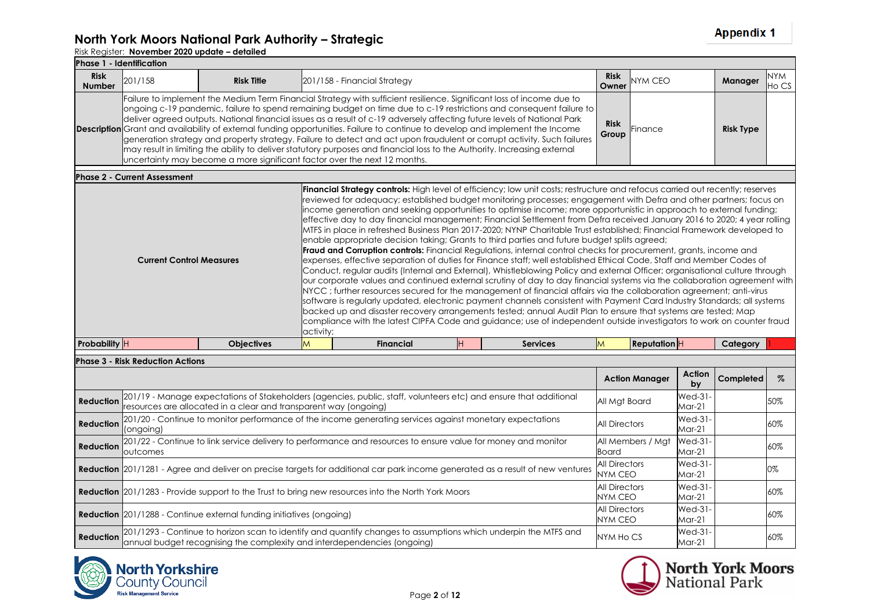### **North York Moors National Park Authority – Strategic**

|                              | <b>Phase 1 - Identification</b>     |                                                                           |           |                                                                                                                                                                                                                                                                                                                                                                                                                                                                                                                                                                                                                                                                                                                                                                                                                                                                                                                                                                                                                                                                                                                                                                                                                                                                                                                                                                                                                                                                                                                                                                                                                                                                                                                                                      |                      |                   |                  |                     |
|------------------------------|-------------------------------------|---------------------------------------------------------------------------|-----------|------------------------------------------------------------------------------------------------------------------------------------------------------------------------------------------------------------------------------------------------------------------------------------------------------------------------------------------------------------------------------------------------------------------------------------------------------------------------------------------------------------------------------------------------------------------------------------------------------------------------------------------------------------------------------------------------------------------------------------------------------------------------------------------------------------------------------------------------------------------------------------------------------------------------------------------------------------------------------------------------------------------------------------------------------------------------------------------------------------------------------------------------------------------------------------------------------------------------------------------------------------------------------------------------------------------------------------------------------------------------------------------------------------------------------------------------------------------------------------------------------------------------------------------------------------------------------------------------------------------------------------------------------------------------------------------------------------------------------------------------------|----------------------|-------------------|------------------|---------------------|
| <b>Risk</b><br><b>Number</b> | 201/158                             | <b>Risk Title</b>                                                         |           | 201/158 - Financial Strategy                                                                                                                                                                                                                                                                                                                                                                                                                                                                                                                                                                                                                                                                                                                                                                                                                                                                                                                                                                                                                                                                                                                                                                                                                                                                                                                                                                                                                                                                                                                                                                                                                                                                                                                         | <b>Risk</b><br>Owner | <b>NYM CEO</b>    | Manager          | <b>NYM</b><br>Ho CS |
|                              |                                     | uncertainty may become a more significant factor over the next 12 months. |           | Failure to implement the Medium Term Financial Strategy with sufficient resilience. Significant loss of income due to<br>ongoing c-19 pandemic, failure to spend remaining budget on time due to c-19 restrictions and consequent failure to<br>deliver agreed outputs. National financial issues as a result of c-19 adversely affecting future levels of National Park<br><b>Description</b> Grant and availability of external funding opportunities. Failure to continue to develop and implement the Income<br>generation strategy and property strategy. Failure to detect and act upon fraudulent or corrupt activity. Such failures<br>may result in limiting the ability to deliver statutory purposes and financial loss to the Authority. Increasing external                                                                                                                                                                                                                                                                                                                                                                                                                                                                                                                                                                                                                                                                                                                                                                                                                                                                                                                                                                             | <b>Risk</b><br>Group | Finance           | <b>Risk Type</b> |                     |
|                              | <b>Phase 2 - Current Assessment</b> |                                                                           |           |                                                                                                                                                                                                                                                                                                                                                                                                                                                                                                                                                                                                                                                                                                                                                                                                                                                                                                                                                                                                                                                                                                                                                                                                                                                                                                                                                                                                                                                                                                                                                                                                                                                                                                                                                      |                      |                   |                  |                     |
|                              | <b>Current Control Measures</b>     |                                                                           | activity; | <b>Financial Strategy controls:</b> High level of efficiency; low unit costs; restructure and refocus carried out recently; reserves<br>reviewed for adequacy; established budget monitoring processes; engagement with Defra and other partners; focus on<br>income generation and seeking opportunities to optimise income; more opportunistic in approach to external funding;<br>effective day to day financial management; Financial Settlement from Defra received January 2016 to 2020; 4 year rolling<br>MTFS in place in refreshed Business Plan 2017-2020; NYNP Charitable Trust established; Financial Framework developed to<br>enable appropriate decision taking; Grants to third parties and future budget splits agreed;<br><b>Fraud and Corruption controls:</b> Financial Regulations, internal control checks for procurement, grants, income and<br>expenses, effective separation of duties for Finance staff; well established Ethical Code, Staff and Member Codes of<br>Conduct, regular audits (Internal and External), Whistleblowing Policy and external Officer; organisational culture through<br>our corporate values and continued external scrutiny of day to day financial systems via the collaboration agreement with<br>NYCC; further resources secured for the management of financial affairs via the collaboration agreement; anti-virus<br>software is regularly updated, electronic payment channels consistent with Payment Card Industry Standards; all systems<br>backed up and disaster recovery arrangements tested; annual Audit Plan to ensure that systems are tested; Map<br>compliance with the latest CIPFA Code and guidance; use of independent outside investigators to work on counter fraud |                      |                   |                  |                     |
| Probability H                |                                     | <b>Objectives</b>                                                         | M         | <b>Financial</b><br><b>Services</b>                                                                                                                                                                                                                                                                                                                                                                                                                                                                                                                                                                                                                                                                                                                                                                                                                                                                                                                                                                                                                                                                                                                                                                                                                                                                                                                                                                                                                                                                                                                                                                                                                                                                                                                  | M                    | <b>Reputation</b> | Category         |                     |
|                              |                                     |                                                                           |           |                                                                                                                                                                                                                                                                                                                                                                                                                                                                                                                                                                                                                                                                                                                                                                                                                                                                                                                                                                                                                                                                                                                                                                                                                                                                                                                                                                                                                                                                                                                                                                                                                                                                                                                                                      |                      |                   |                  |                     |

|                  | <b>Phase 3 - Risk Reduction Actions</b>                                                                                                                                                                                    |                                        |                          |                  |     |
|------------------|----------------------------------------------------------------------------------------------------------------------------------------------------------------------------------------------------------------------------|----------------------------------------|--------------------------|------------------|-----|
|                  |                                                                                                                                                                                                                            | <b>Action Manager</b>                  | Action<br>bv             | <b>Completed</b> | %   |
| <b>Reduction</b> | 201/19 - Manage expectations of Stakeholders (agencies, public, staff, volunteers etc) and ensure that additional<br>  resources are allocated in a clear and transparent way (ongoing)                                    | All Mat Board                          | $Wed-31-$<br>Mar-21      |                  | 50% |
| Reduction        | 201/20 - Continue to monitor performance of the income generating services against monetary expectations<br>(ongoing)                                                                                                      | <b>All Directors</b>                   | $Wed-31-$<br>$Mar-21$    |                  | 60% |
| Reduction        | 201/22 - Continue to link service delivery to performance and resources to ensure value for money and monitor<br><b>loutcomes</b>                                                                                          | All Members / Mgt<br>Board             | <b>Wed-31-</b><br>Mar-21 |                  | 60% |
|                  | <b>Reduction</b> 201/1281 - Agree and deliver on precise targets for additional car park income generated as a result of new ventures                                                                                      | <b>All Directors</b><br><b>NYM CEO</b> | <b>Wed-31-</b><br>Mar-21 |                  | 0%  |
|                  | Reduction 201/1283 - Provide support to the Trust to bring new resources into the North York Moors                                                                                                                         | <b>All Directors</b><br>NYM CEO        | <b>Wed-31-</b><br>Mar-21 |                  | 60% |
|                  | <b>Reduction</b> 201/1288 - Continue external funding initiatives (ongoing)                                                                                                                                                | <b>All Directors</b><br>NYM CEO        | <b>Wed-31-</b><br>Mar-21 |                  | 60% |
|                  | <b>Reduction</b> 201/1293 - Continue to horizon scan to identify and quantify changes to assumptions which underpin the MTFS and <b>Reduction</b> annual budget recognising the complexity and interdependencies (ongoing) | NYM Ho CS                              | <b>Wed-31-</b><br>Mar-21 |                  | 60% |



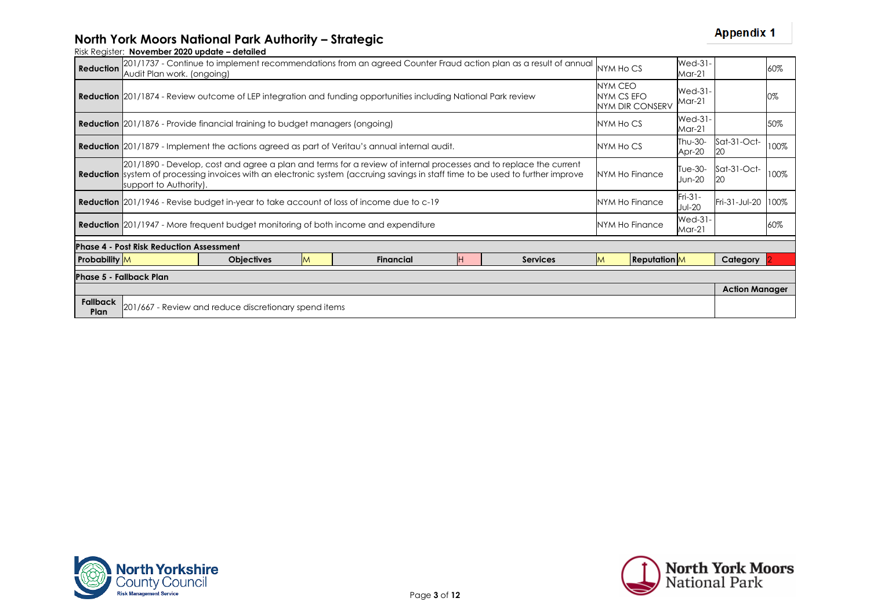| <b>Reduction</b>        | Audit Plan work. (ongoing)                            |                                                                                                                                                                           |   | 201/1737 - Continue to implement recommendations from an agreed Counter Fraud action plan as a result of annual                                                                                                                                             |  |                 | NYM Ho CS      |                     | <b>Wed-31-</b><br>$Mar-21$ |                       | 60%  |
|-------------------------|-------------------------------------------------------|---------------------------------------------------------------------------------------------------------------------------------------------------------------------------|---|-------------------------------------------------------------------------------------------------------------------------------------------------------------------------------------------------------------------------------------------------------------|--|-----------------|----------------|---------------------|----------------------------|-----------------------|------|
|                         |                                                       | <b>NYM CEO</b><br><b>Reduction</b> 201/1874 - Review outcome of LEP integration and funding opportunities including National Park review<br>NYM CS EFO<br>NYM DIR CONSERV |   |                                                                                                                                                                                                                                                             |  |                 |                |                     |                            |                       | 0%   |
|                         |                                                       | <b>Reduction</b> 201/1876 - Provide financial training to budget managers (ongoing)                                                                                       |   |                                                                                                                                                                                                                                                             |  |                 | NYM Ho CS      |                     | $Wed-31-$<br>$Mar-21$      |                       | 50%  |
|                         |                                                       |                                                                                                                                                                           |   | <b>Reduction</b> 201/1879 - Implement the actions agreed as part of Veritau's annual internal audit.                                                                                                                                                        |  |                 | NYM Ho CS      |                     | Thu-30-<br>Apr-20          | Sat-31-Oct-<br>20     | 100% |
|                         | support to Authority).                                |                                                                                                                                                                           |   | 201/1890 - Develop, cost and agree a plan and terms for a review of internal processes and to replace the current<br><b>Reduction</b> system of processing invoices with an electronic system (accruing savings in staff time to be used to further improve |  |                 | NYM Ho Finance |                     | Tue-30-<br>Jun-20          | Sat-31-Oct-<br>20     | 100% |
|                         |                                                       |                                                                                                                                                                           |   | <b>Reduction</b> 201/1946 - Revise budget in-year to take account of loss of income due to c-19                                                                                                                                                             |  |                 |                | NYM Ho Finance      | $Fri-31-$<br><b>Jul-20</b> | Fri-31-Jul-20         | 100% |
|                         |                                                       | <b>Reduction</b> 201/1947 - More frequent budget monitoring of both income and expenditure                                                                                |   |                                                                                                                                                                                                                                                             |  |                 |                | NYM Ho Finance      | Wed-31-<br>$Mar-21$        |                       | 60%  |
|                         | <b>Phase 4 - Post Risk Reduction Assessment</b>       |                                                                                                                                                                           |   |                                                                                                                                                                                                                                                             |  |                 |                |                     |                            |                       |      |
| <b>Probability</b> M    |                                                       | <b>Objectives</b>                                                                                                                                                         | M | <b>Financial</b>                                                                                                                                                                                                                                            |  | <b>Services</b> | ΙM             | <b>Reputation</b> M |                            | Category              |      |
|                         | Phase 5 - Fallback Plan                               |                                                                                                                                                                           |   |                                                                                                                                                                                                                                                             |  |                 |                |                     |                            |                       |      |
|                         |                                                       |                                                                                                                                                                           |   |                                                                                                                                                                                                                                                             |  |                 |                |                     |                            | <b>Action Manager</b> |      |
| <b>Fallback</b><br>Plan | 201/667 - Review and reduce discretionary spend items |                                                                                                                                                                           |   |                                                                                                                                                                                                                                                             |  |                 |                |                     |                            |                       |      |



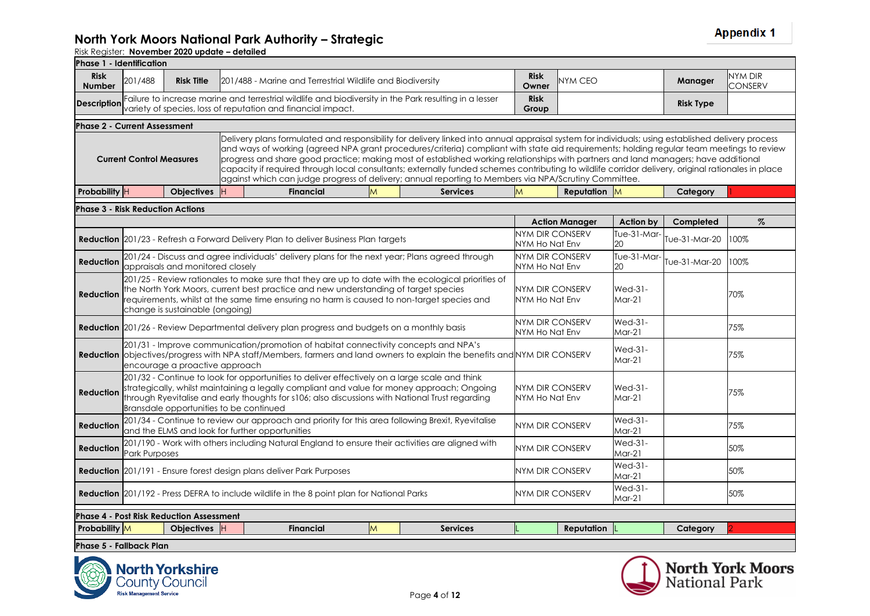| <b>Phase 1 - Identification</b>                                                            |                                                                                                                                                                                                                                                                                                                                                                                                                                                                                                                                                                                                                                                                                                                                         |                                                 |           |  |                                                                                     |   |                                                                                                                                                                                                                                                                                                 |                                          |                             |                             |                  |                           |
|--------------------------------------------------------------------------------------------|-----------------------------------------------------------------------------------------------------------------------------------------------------------------------------------------------------------------------------------------------------------------------------------------------------------------------------------------------------------------------------------------------------------------------------------------------------------------------------------------------------------------------------------------------------------------------------------------------------------------------------------------------------------------------------------------------------------------------------------------|-------------------------------------------------|-----------|--|-------------------------------------------------------------------------------------|---|-------------------------------------------------------------------------------------------------------------------------------------------------------------------------------------------------------------------------------------------------------------------------------------------------|------------------------------------------|-----------------------------|-----------------------------|------------------|---------------------------|
| <b>Risk</b><br><b>Number</b>                                                               | 201/488                                                                                                                                                                                                                                                                                                                                                                                                                                                                                                                                                                                                                                                                                                                                 | <b>Risk Title</b>                               |           |  | 201/488 - Marine and Terrestrial Wildlife and Biodiversity                          |   |                                                                                                                                                                                                                                                                                                 | <b>Risk</b><br>Owner                     | NYM CEO                     |                             | Manager          | NYM DIR<br><b>CONSERV</b> |
| Description                                                                                |                                                                                                                                                                                                                                                                                                                                                                                                                                                                                                                                                                                                                                                                                                                                         |                                                 |           |  | variety of species, loss of reputation and financial impact.                        |   | Failure to increase marine and terrestrial wildlife and biodiversity in the Park resulting in a lesser                                                                                                                                                                                          | <b>Risk</b><br>Group                     |                             |                             | <b>Risk Type</b> |                           |
| <b>Phase 2 - Current Assessment</b>                                                        |                                                                                                                                                                                                                                                                                                                                                                                                                                                                                                                                                                                                                                                                                                                                         |                                                 |           |  |                                                                                     |   |                                                                                                                                                                                                                                                                                                 |                                          |                             |                             |                  |                           |
|                                                                                            | Delivery plans formulated and responsibility for delivery linked into annual appraisal system for individuals; using established delivery process<br>and ways of working (agreed NPA grant procedures/criteria) compliant with state aid requirements; holding regular team meetings to review<br>progress and share good practice; making most of established working relationships with partners and land managers; have additional<br><b>Current Control Measures</b><br>capacity if required through local consultants; externally funded schemes contributing to wildlife corridor delivery, original rationales in place<br>against which can judge progress of delivery; annual reporting to Members via NPA/Scrutiny Committee. |                                                 |           |  |                                                                                     |   |                                                                                                                                                                                                                                                                                                 |                                          |                             |                             |                  |                           |
| Probability H                                                                              |                                                                                                                                                                                                                                                                                                                                                                                                                                                                                                                                                                                                                                                                                                                                         | <b>Objectives</b>                               | <b>IH</b> |  | <b>Financial</b>                                                                    | M | <b>Services</b>                                                                                                                                                                                                                                                                                 | M                                        | Reputation M                |                             | Category         |                           |
| <b>Phase 3 - Risk Reduction Actions</b>                                                    |                                                                                                                                                                                                                                                                                                                                                                                                                                                                                                                                                                                                                                                                                                                                         |                                                 |           |  |                                                                                     |   |                                                                                                                                                                                                                                                                                                 |                                          |                             |                             |                  |                           |
|                                                                                            |                                                                                                                                                                                                                                                                                                                                                                                                                                                                                                                                                                                                                                                                                                                                         |                                                 |           |  |                                                                                     |   |                                                                                                                                                                                                                                                                                                 |                                          | <b>Action Manager</b>       | Action by                   | Completed        | $\%$                      |
|                                                                                            |                                                                                                                                                                                                                                                                                                                                                                                                                                                                                                                                                                                                                                                                                                                                         |                                                 |           |  | Reduction 201/23 - Refresh a Forward Delivery Plan to deliver Business Plan targets |   |                                                                                                                                                                                                                                                                                                 | NYM DIR CONSERV<br>NYM Ho Nat Env        |                             | Tue-31-Mar-<br>20           | Tue-31-Mar-20    | 100%                      |
| <b>Reduction</b>                                                                           |                                                                                                                                                                                                                                                                                                                                                                                                                                                                                                                                                                                                                                                                                                                                         | appraisals and monitored closely                |           |  |                                                                                     |   | 201/24 - Discuss and agree individuals' delivery plans for the next year; Plans agreed through                                                                                                                                                                                                  | <b>NYM DIR CONSERV</b><br>NYM Ho Nat Env |                             | Tue-31-Mar-<br>20           | Tue-31-Mar-20    | 100%                      |
| <b>Reduction</b>                                                                           |                                                                                                                                                                                                                                                                                                                                                                                                                                                                                                                                                                                                                                                                                                                                         | change is sustainable (ongoing)                 |           |  |                                                                                     |   | 201/25 - Review rationales to make sure that they are up to date with the ecological priorities of<br>the North York Moors, current best practice and new understanding of target species<br>requirements, whilst at the same time ensuring no harm is caused to non-target species and         | NYM DIR CONSERV<br>NYM Ho Nat Env        |                             | Wed-31-<br>$Mar-21$         |                  | 70%                       |
|                                                                                            |                                                                                                                                                                                                                                                                                                                                                                                                                                                                                                                                                                                                                                                                                                                                         |                                                 |           |  |                                                                                     |   | <b>Reduction</b> 201/26 - Review Departmental delivery plan progress and budgets on a monthly basis                                                                                                                                                                                             | NYM DIR CONSERV<br>NYM Ho Nat Env        |                             | <b>Wed-31-</b><br>Mar-21    |                  | 75%                       |
|                                                                                            |                                                                                                                                                                                                                                                                                                                                                                                                                                                                                                                                                                                                                                                                                                                                         | encourage a proactive approach                  |           |  |                                                                                     |   | 201/31 - Improve communication/promotion of habitat connectivity concepts and NPA's<br><b>Reduction</b> objectives/progress with NPA staff/Members, farmers and land owners to explain the benefits and NYM DIR CONSERV                                                                         |                                          |                             | Wed-31-<br>$Mar-21$         |                  | 75%                       |
| <b>Reduction</b>                                                                           |                                                                                                                                                                                                                                                                                                                                                                                                                                                                                                                                                                                                                                                                                                                                         | Bransdale opportunities to be continued         |           |  |                                                                                     |   | 201/32 - Continue to look for opportunities to deliver effectively on a large scale and think<br>strategically, whilst maintaining a legally compliant and value for money approach; Ongoing<br>through Ryevitalise and early thoughts for s106; also discussions with National Trust regarding | NYM DIR CONSERV<br>NYM Ho Nat Env        |                             | $Wed-31-$<br>$Mar-21$       |                  | 75%                       |
| <b>Reduction</b>                                                                           |                                                                                                                                                                                                                                                                                                                                                                                                                                                                                                                                                                                                                                                                                                                                         | and the ELMS and look for further opportunities |           |  |                                                                                     |   | 201/34 - Continue to review our approach and priority for this area following Brexit, Ryevitalise                                                                                                                                                                                               | NYM DIR CONSERV                          |                             | <b>Wed-31-</b><br>$M$ ar-21 |                  | 75%                       |
| <b>Reduction</b>                                                                           | <b>Park Purposes</b>                                                                                                                                                                                                                                                                                                                                                                                                                                                                                                                                                                                                                                                                                                                    |                                                 |           |  |                                                                                     |   | 201/190 - Work with others including Natural England to ensure their activities are aligned with                                                                                                                                                                                                | NYM DIR CONSERV                          |                             | <b>Wed-31-</b><br>$M$ ar-21 |                  | 50%                       |
| <b>Reduction</b> 201/191 - Ensure forest design plans deliver Park Purposes                |                                                                                                                                                                                                                                                                                                                                                                                                                                                                                                                                                                                                                                                                                                                                         |                                                 |           |  |                                                                                     |   | NYM DIR CONSERV                                                                                                                                                                                                                                                                                 |                                          | <b>Wed-31-</b><br>$M$ ar-21 |                             | 50%              |                           |
| Reduction 201/192 - Press DEFRA to include wildlife in the 8 point plan for National Parks |                                                                                                                                                                                                                                                                                                                                                                                                                                                                                                                                                                                                                                                                                                                                         |                                                 |           |  |                                                                                     |   |                                                                                                                                                                                                                                                                                                 | NYM DIR CONSERV                          |                             | <b>Wed-31-</b><br>$Mar-21$  |                  | 50%                       |
|                                                                                            | <b>Phase 4 - Post Risk Reduction Assessment</b>                                                                                                                                                                                                                                                                                                                                                                                                                                                                                                                                                                                                                                                                                         |                                                 |           |  |                                                                                     |   |                                                                                                                                                                                                                                                                                                 |                                          |                             |                             |                  |                           |
| Probability M                                                                              |                                                                                                                                                                                                                                                                                                                                                                                                                                                                                                                                                                                                                                                                                                                                         | Objectives H                                    |           |  | <b>Financial</b>                                                                    | M | <b>Services</b>                                                                                                                                                                                                                                                                                 |                                          | <b>Reputation</b>           |                             | Category         |                           |
| Phase 5 - Fallback Plan                                                                    |                                                                                                                                                                                                                                                                                                                                                                                                                                                                                                                                                                                                                                                                                                                                         |                                                 |           |  |                                                                                     |   |                                                                                                                                                                                                                                                                                                 |                                          |                             |                             |                  |                           |



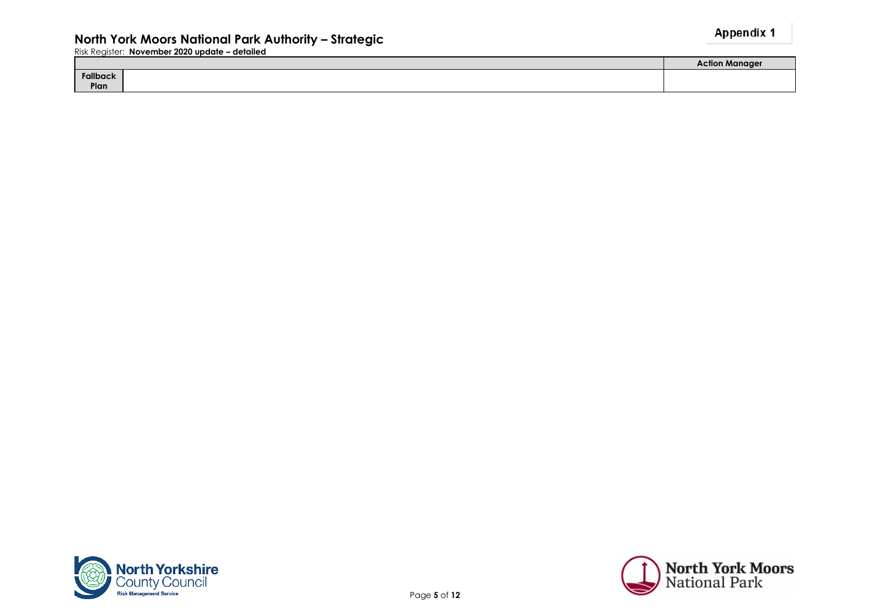|          | Aanaae |
|----------|--------|
| Fallback |        |
| Plan     |        |



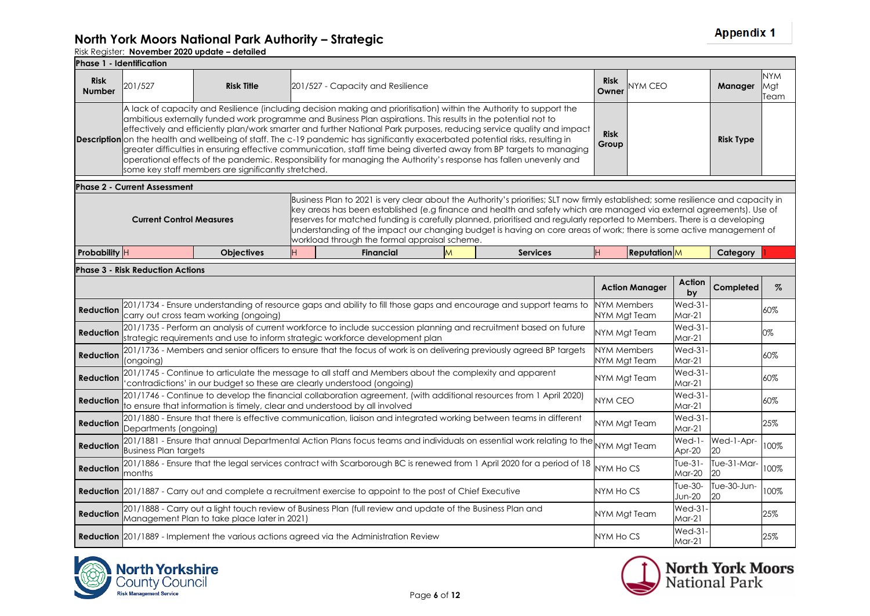#### **North York Moors National Park Authority – Strategic**

|                              | <b>Phase 1 - Identification</b>         |                                                     |    |                                                                                                                                                                                                                                                                                                                                                                                                                                                                                                |   |                                                                                                                                                                                                                                                                                                                                                                                                                                                                                                             |                                    |                       |                             |                   |                           |
|------------------------------|-----------------------------------------|-----------------------------------------------------|----|------------------------------------------------------------------------------------------------------------------------------------------------------------------------------------------------------------------------------------------------------------------------------------------------------------------------------------------------------------------------------------------------------------------------------------------------------------------------------------------------|---|-------------------------------------------------------------------------------------------------------------------------------------------------------------------------------------------------------------------------------------------------------------------------------------------------------------------------------------------------------------------------------------------------------------------------------------------------------------------------------------------------------------|------------------------------------|-----------------------|-----------------------------|-------------------|---------------------------|
| <b>Risk</b><br><b>Number</b> | 201/527                                 | <b>Risk Title</b>                                   |    | 201/527 - Capacity and Resilience                                                                                                                                                                                                                                                                                                                                                                                                                                                              |   |                                                                                                                                                                                                                                                                                                                                                                                                                                                                                                             | <b>Risk</b><br>Owner               | NYM CEO               |                             | Manager           | <b>NYM</b><br>Mgt<br>Team |
|                              |                                         | some key staff members are significantly stretched. |    | A lack of capacity and Resilience (including decision making and prioritisation) within the Authority to support the<br>ambitious externally funded work programme and Business Plan aspirations. This results in the potential not to<br>Description on the health and wellbeing of staff. The c-19 pandemic has significantly exacerbated potential risks, resulting in<br>operational effects of the pandemic. Responsibility for managing the Authority's response has fallen unevenly and |   | effectively and efficiently plan/work smarter and further National Park purposes, reducing service quality and impact<br>greater difficulties in ensuring effective communication, staff time being diverted away from BP targets to managing                                                                                                                                                                                                                                                               | <b>Risk</b><br>Group               |                       |                             | <b>Risk Type</b>  |                           |
|                              | <b>Phase 2 - Current Assessment</b>     |                                                     |    |                                                                                                                                                                                                                                                                                                                                                                                                                                                                                                |   |                                                                                                                                                                                                                                                                                                                                                                                                                                                                                                             |                                    |                       |                             |                   |                           |
|                              | <b>Current Control Measures</b>         |                                                     |    | workload through the formal appraisal scheme.                                                                                                                                                                                                                                                                                                                                                                                                                                                  |   | Business Plan to 2021 is very clear about the Authority's priorities; SLT now firmly established; some resilience and capacity in<br>key areas has been established (e.g finance and health and safety which are managed via external agreements). Use of<br>reserves for matched funding is carefully planned, prioritised and regularly reported to Members. There is a developing<br>understanding of the impact our changing budget is having on core areas of work; there is some active management of |                                    |                       |                             |                   |                           |
| Probability H                |                                         | <b>Objectives</b>                                   | H. | <b>Financial</b>                                                                                                                                                                                                                                                                                                                                                                                                                                                                               | M | <b>Services</b>                                                                                                                                                                                                                                                                                                                                                                                                                                                                                             | H.                                 | <b>Reputation</b>     |                             | Category          |                           |
|                              | <b>Phase 3 - Risk Reduction Actions</b> |                                                     |    |                                                                                                                                                                                                                                                                                                                                                                                                                                                                                                |   |                                                                                                                                                                                                                                                                                                                                                                                                                                                                                                             |                                    |                       |                             |                   |                           |
|                              |                                         |                                                     |    |                                                                                                                                                                                                                                                                                                                                                                                                                                                                                                |   |                                                                                                                                                                                                                                                                                                                                                                                                                                                                                                             |                                    | <b>Action Manager</b> | Action<br>by                | Completed         | $\%$                      |
| Reduction                    |                                         | carry out cross team working (ongoing)              |    |                                                                                                                                                                                                                                                                                                                                                                                                                                                                                                |   | 201/1734 - Ensure understanding of resource gaps and ability to fill those gaps and encourage and support teams to                                                                                                                                                                                                                                                                                                                                                                                          | NYM Members<br>NYM Mgt Team        |                       | $Wed-31$<br>$Mar-21$        |                   | 60%                       |
| Reduction                    |                                         |                                                     |    | strategic requirements and use to inform strategic workforce development plan                                                                                                                                                                                                                                                                                                                                                                                                                  |   | 201/1735 - Perform an analysis of current workforce to include succession planning and recruitment based on future                                                                                                                                                                                                                                                                                                                                                                                          | NYM Mgt Team                       |                       | <b>Wed-31-</b><br>$Mar-21$  |                   | 0%                        |
| Reduction                    | (ongoing)                               |                                                     |    |                                                                                                                                                                                                                                                                                                                                                                                                                                                                                                |   | 201/1736 - Members and senior officers to ensure that the focus of work is on delivering previously agreed BP targets                                                                                                                                                                                                                                                                                                                                                                                       | <b>NYM Members</b><br>NYM Mgt Team |                       | <b>Wed-31-</b><br>$Mar-21$  |                   | 60%                       |
| Reduction                    |                                         |                                                     |    | 201/1745 - Continue to articulate the message to all staff and Members about the complexity and apparent<br>contradictions' in our budget so these are clearly understood (ongoing)                                                                                                                                                                                                                                                                                                            |   |                                                                                                                                                                                                                                                                                                                                                                                                                                                                                                             | NYM Mgt Team                       |                       | <b>Wed-31-</b><br>$Mar-21$  |                   | 60%                       |
| <b>Reduction</b>             |                                         |                                                     |    | 201/1746 - Continue to develop the financial collaboration agreement, (with additional resources from 1 April 2020)<br>to ensure that information is timely, clear and understood by all involved                                                                                                                                                                                                                                                                                              |   |                                                                                                                                                                                                                                                                                                                                                                                                                                                                                                             | NYM CEO                            |                       | $Wed-31-$<br>$Mar-21$       |                   | 60%                       |
| Reduction                    | Departments (ongoing)                   |                                                     |    | 201/1880 - Ensure that there is effective communication, liaison and integrated working between teams in different                                                                                                                                                                                                                                                                                                                                                                             |   |                                                                                                                                                                                                                                                                                                                                                                                                                                                                                                             | NYM Mgt Team                       |                       | <b>Wed-31-</b><br>$M$ ar-21 |                   | 25%                       |
| Reduction                    | <b>Business Plan targets</b>            |                                                     |    |                                                                                                                                                                                                                                                                                                                                                                                                                                                                                                |   | 201/1881 - Ensure that annual Departmental Action Plans focus teams and individuals on essential work relating to the                                                                                                                                                                                                                                                                                                                                                                                       |                                    | NYM Mgt Team          | $Wed-1-$<br>Apr-20          | Wed-1-Apr-<br>20  | 100%                      |
| <b>Reduction</b>             | months                                  |                                                     |    |                                                                                                                                                                                                                                                                                                                                                                                                                                                                                                |   | 201/1886 - Ensure that the legal services contract with Scarborough BC is renewed from 1 April 2020 for a period of 18                                                                                                                                                                                                                                                                                                                                                                                      | NYM Ho CS                          |                       | Tue- $31-$<br>Mar-20        | Tue-31-Mar-<br>20 | 100%                      |
|                              |                                         |                                                     |    | Reduction 201/1887 - Carry out and complete a recruitment exercise to appoint to the post of Chief Executive                                                                                                                                                                                                                                                                                                                                                                                   |   |                                                                                                                                                                                                                                                                                                                                                                                                                                                                                                             | NYM HO CS                          |                       | Tue-30-<br><b>Jun-20</b>    | Tue-30-Jun-<br>20 | 100%                      |
| <b>Reduction</b>             |                                         | Management Plan to take place later in 2021)        |    | 201/1888 - Carry out a light touch review of Business Plan (full review and update of the Business Plan and                                                                                                                                                                                                                                                                                                                                                                                    |   |                                                                                                                                                                                                                                                                                                                                                                                                                                                                                                             | NYM Mgt Team                       |                       | Wed-31-<br>$Mar-21$         |                   | 25%                       |
|                              |                                         |                                                     |    | <b>Reduction</b> 201/1889 - Implement the various actions agreed via the Administration Review                                                                                                                                                                                                                                                                                                                                                                                                 |   |                                                                                                                                                                                                                                                                                                                                                                                                                                                                                                             | NYM Ho CS                          |                       | <b>Wed-31-</b><br>$Mar-21$  |                   | 25%                       |



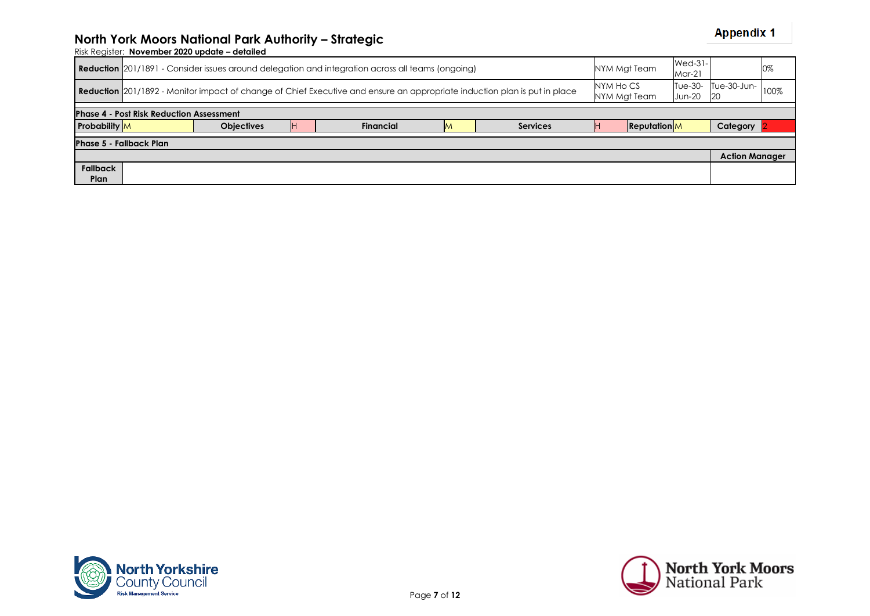| 0%                          |
|-----------------------------|
| Tue-30- Tue-30-Jun-<br>100% |
|                             |
| Category                    |
|                             |
| <b>Action Manager</b>       |
|                             |
|                             |



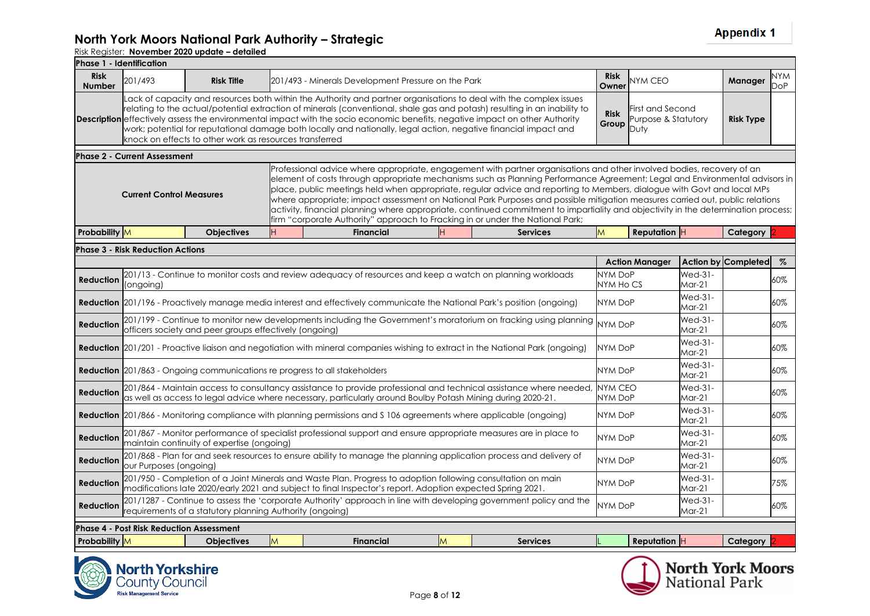| <b>Phase 1 - Identification</b> |                                                                                                                                                                                                                                                                                                                                                                                                                                                                                                                                                                                                              |                                                          |   |                                                                                                                                                                                                                                                                                                                                                                                                                                                                                                                                                                                                                                                         |   |                 |                           |                       |                                         |                         |            |
|---------------------------------|--------------------------------------------------------------------------------------------------------------------------------------------------------------------------------------------------------------------------------------------------------------------------------------------------------------------------------------------------------------------------------------------------------------------------------------------------------------------------------------------------------------------------------------------------------------------------------------------------------------|----------------------------------------------------------|---|---------------------------------------------------------------------------------------------------------------------------------------------------------------------------------------------------------------------------------------------------------------------------------------------------------------------------------------------------------------------------------------------------------------------------------------------------------------------------------------------------------------------------------------------------------------------------------------------------------------------------------------------------------|---|-----------------|---------------------------|-----------------------|-----------------------------------------|-------------------------|------------|
| <b>Risk</b><br><b>Number</b>    | 201/493                                                                                                                                                                                                                                                                                                                                                                                                                                                                                                                                                                                                      | <b>Risk Title</b>                                        |   | 201/493 - Minerals Development Pressure on the Park                                                                                                                                                                                                                                                                                                                                                                                                                                                                                                                                                                                                     |   |                 | <b>Risk</b><br>Owner      | NYM CEO               |                                         | Manager                 | NYM<br>DoP |
|                                 | Lack of capacity and resources both within the Authority and partner organisations to deal with the complex issues<br>relating to the actual/potential extraction of minerals (conventional, shale gas and potash) resulting in an inability to<br><b>Description</b> effectively assess the environmental impact with the socio economic benefits, negative impact on other Authority<br>work; potential for reputational damage both locally and nationally, legal action, negative financial impact and<br>knock on effects to other work as resources transferred<br><b>Phase 2 - Current Assessment</b> |                                                          |   |                                                                                                                                                                                                                                                                                                                                                                                                                                                                                                                                                                                                                                                         |   |                 |                           |                       | First and Second<br>Purpose & Statutory | <b>Risk Type</b>        |            |
|                                 |                                                                                                                                                                                                                                                                                                                                                                                                                                                                                                                                                                                                              |                                                          |   |                                                                                                                                                                                                                                                                                                                                                                                                                                                                                                                                                                                                                                                         |   |                 |                           |                       |                                         |                         |            |
|                                 | <b>Current Control Measures</b>                                                                                                                                                                                                                                                                                                                                                                                                                                                                                                                                                                              |                                                          |   | Professional advice where appropriate, engagement with partner organisations and other involved bodies, recovery of an<br>element of costs through appropriate mechanisms such as Planning Performance Agreement; Legal and Environmental advisors in<br>place, public meetings held when appropriate, regular advice and reporting to Members, dialogue with Govt and local MPs<br>where appropriate; impact assessment on National Park Purposes and possible mitigation measures carried out, public relations<br>activity, financial planning where appropriate, continued commitment to impartiality and objectivity in the determination process; |   |                 |                           |                       |                                         |                         |            |
| <b>Probability</b> M            |                                                                                                                                                                                                                                                                                                                                                                                                                                                                                                                                                                                                              | <b>Objectives</b>                                        |   | <b>Financial</b>                                                                                                                                                                                                                                                                                                                                                                                                                                                                                                                                                                                                                                        |   | <b>Services</b> | M                         | <b>Reputation</b> $H$ |                                         | Category                |            |
|                                 | <b>Phase 3 - Risk Reduction Actions</b>                                                                                                                                                                                                                                                                                                                                                                                                                                                                                                                                                                      |                                                          |   |                                                                                                                                                                                                                                                                                                                                                                                                                                                                                                                                                                                                                                                         |   |                 |                           |                       |                                         |                         |            |
|                                 |                                                                                                                                                                                                                                                                                                                                                                                                                                                                                                                                                                                                              |                                                          |   |                                                                                                                                                                                                                                                                                                                                                                                                                                                                                                                                                                                                                                                         |   |                 |                           | <b>Action Manager</b> |                                         | Action by Completed     | %          |
| <b>Reduction</b>                | (ongoing)                                                                                                                                                                                                                                                                                                                                                                                                                                                                                                                                                                                                    |                                                          |   | 201/13 - Continue to monitor costs and review adequacy of resources and keep a watch on planning workloads                                                                                                                                                                                                                                                                                                                                                                                                                                                                                                                                              |   |                 | NYM DoP<br>NYM Ho CS      |                       | <b>Wed-31-</b><br>$Mar-21$              |                         | 60%        |
|                                 |                                                                                                                                                                                                                                                                                                                                                                                                                                                                                                                                                                                                              |                                                          |   | Reduction 201/196 - Proactively manage media interest and effectively communicate the National Park's position (ongoing)                                                                                                                                                                                                                                                                                                                                                                                                                                                                                                                                |   |                 | NYM DoP                   |                       | <b>Wed-31-</b><br>$Mar-21$              |                         | 60%        |
| <b>Reduction</b>                |                                                                                                                                                                                                                                                                                                                                                                                                                                                                                                                                                                                                              | officers society and peer groups effectively (ongoing)   |   | 201/199 - Continue to monitor new developments including the Government's moratorium on fracking using planning                                                                                                                                                                                                                                                                                                                                                                                                                                                                                                                                         |   |                 | <b>NYM DoP</b>            |                       | <b>Wed-31-</b><br>$Mar-21$              |                         | 60%        |
|                                 |                                                                                                                                                                                                                                                                                                                                                                                                                                                                                                                                                                                                              |                                                          |   | Reduction 201/201 - Proactive liaison and negotiation with mineral companies wishing to extract in the National Park (ongoing)                                                                                                                                                                                                                                                                                                                                                                                                                                                                                                                          |   |                 | NYM DoP                   |                       | <b>Wed-31-</b><br>$Mar-21$              |                         | 60%        |
|                                 |                                                                                                                                                                                                                                                                                                                                                                                                                                                                                                                                                                                                              |                                                          |   | <b>Reduction</b> 201/863 - Ongoing communications re progress to all stakeholders                                                                                                                                                                                                                                                                                                                                                                                                                                                                                                                                                                       |   |                 | NYM DoP                   |                       | <b>Wed-31-</b><br>Mar-21                |                         | 60%        |
| <b>Reduction</b>                |                                                                                                                                                                                                                                                                                                                                                                                                                                                                                                                                                                                                              |                                                          |   | 201/864 - Maintain access to consultancy assistance to provide professional and technical assistance where needed,<br>as well as access to legal advice where necessary, particularly around Boulby Potash Mining during 2020-21.                                                                                                                                                                                                                                                                                                                                                                                                                       |   |                 | <b>NYM CEO</b><br>NYM DoP |                       | <b>Wed-31-</b><br>Mar-21                |                         | 60%        |
|                                 |                                                                                                                                                                                                                                                                                                                                                                                                                                                                                                                                                                                                              |                                                          |   | Reduction 201/866 - Monitoring compliance with planning permissions and S 106 agreements where applicable (ongoing)                                                                                                                                                                                                                                                                                                                                                                                                                                                                                                                                     |   |                 | <b>NYM DoP</b>            |                       | Wed-31-<br>$Mar-21$                     |                         | 60%        |
| <b>Reduction</b>                |                                                                                                                                                                                                                                                                                                                                                                                                                                                                                                                                                                                                              | maintain continuity of expertise (ongoing)               |   | 201/867 - Monitor performance of specialist professional support and ensure appropriate measures are in place to                                                                                                                                                                                                                                                                                                                                                                                                                                                                                                                                        |   |                 | NYM DoP                   |                       | <b>Wed-31-</b><br>Mar-21                |                         | 60%        |
| <b>Reduction</b>                | our Purposes (ongoing)                                                                                                                                                                                                                                                                                                                                                                                                                                                                                                                                                                                       |                                                          |   | 201/868 - Plan for and seek resources to ensure ability to manage the planning application process and delivery of                                                                                                                                                                                                                                                                                                                                                                                                                                                                                                                                      |   |                 | <b>NYM DoP</b>            |                       | <b>Wed-31-</b><br>Mar-21                |                         | 60%        |
| <b>Reduction</b>                |                                                                                                                                                                                                                                                                                                                                                                                                                                                                                                                                                                                                              |                                                          |   | 201/950 - Completion of a Joint Minerals and Waste Plan. Progress to adoption following consultation on main<br>modifications late 2020/early 2021 and subject to final Inspector's report. Adoption expected Spring 2021.                                                                                                                                                                                                                                                                                                                                                                                                                              |   |                 | NYM DoP                   |                       | <b>Wed-31-</b><br>$Mar-21$              |                         | 75%        |
| <b>Reduction</b>                |                                                                                                                                                                                                                                                                                                                                                                                                                                                                                                                                                                                                              | requirements of a statutory planning Authority (ongoing) |   | 201/1287 - Continue to assess the 'corporate Authority' approach in line with developing government policy and the                                                                                                                                                                                                                                                                                                                                                                                                                                                                                                                                      |   |                 | NYM DoP                   |                       | $Wed-31-$<br>$Mar-21$                   |                         | 60%        |
|                                 | <b>Phase 4 - Post Risk Reduction Assessment</b>                                                                                                                                                                                                                                                                                                                                                                                                                                                                                                                                                              |                                                          |   |                                                                                                                                                                                                                                                                                                                                                                                                                                                                                                                                                                                                                                                         |   |                 |                           |                       |                                         |                         |            |
| Probability M                   |                                                                                                                                                                                                                                                                                                                                                                                                                                                                                                                                                                                                              | <b>Objectives</b>                                        | M | <b>Financial</b>                                                                                                                                                                                                                                                                                                                                                                                                                                                                                                                                                                                                                                        | M | <b>Services</b> |                           | <b>Reputation</b> $H$ |                                         | Category                |            |
|                                 | <b>North Yorkshire</b>                                                                                                                                                                                                                                                                                                                                                                                                                                                                                                                                                                                       |                                                          |   |                                                                                                                                                                                                                                                                                                                                                                                                                                                                                                                                                                                                                                                         |   |                 |                           |                       |                                         | <b>North York Moors</b> |            |



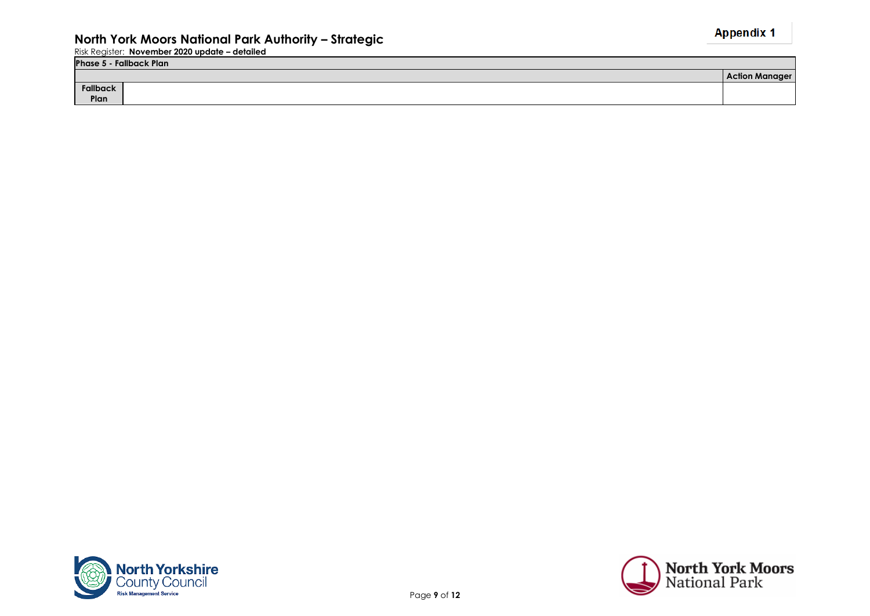| Phase 5<br>- Fallback Plan |                       |
|----------------------------|-----------------------|
|                            | <b>Action Manager</b> |
| Fallback                   |                       |
| Plan                       |                       |



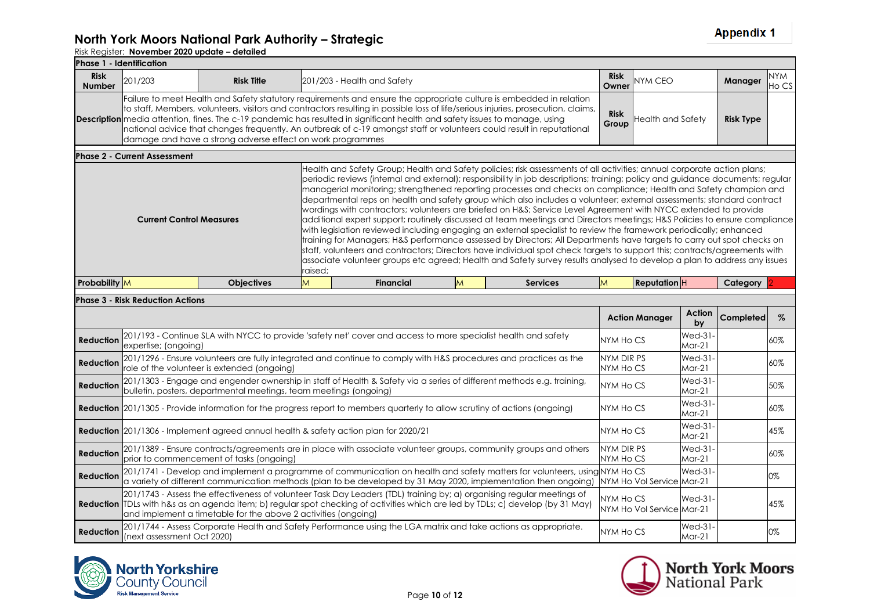| Phase 1 - Identification     |                                         |                                                            |         |                                                                                                                                                                                                                                                                                                                                                                                                                                                                                                                                                                                                                                                                                                                                                                                                                                                                                                                                                                                                                                                                                                                                                                                                                                                                 |   |                 |                      |                   |                  |                     |
|------------------------------|-----------------------------------------|------------------------------------------------------------|---------|-----------------------------------------------------------------------------------------------------------------------------------------------------------------------------------------------------------------------------------------------------------------------------------------------------------------------------------------------------------------------------------------------------------------------------------------------------------------------------------------------------------------------------------------------------------------------------------------------------------------------------------------------------------------------------------------------------------------------------------------------------------------------------------------------------------------------------------------------------------------------------------------------------------------------------------------------------------------------------------------------------------------------------------------------------------------------------------------------------------------------------------------------------------------------------------------------------------------------------------------------------------------|---|-----------------|----------------------|-------------------|------------------|---------------------|
| <b>Risk</b><br><b>Number</b> | 201/203                                 | <b>Risk Title</b>                                          |         | 201/203 - Health and Safety                                                                                                                                                                                                                                                                                                                                                                                                                                                                                                                                                                                                                                                                                                                                                                                                                                                                                                                                                                                                                                                                                                                                                                                                                                     |   |                 | <b>Risk</b><br>Owner | <b>NYM CEO</b>    | <b>Manager</b>   | <b>NYM</b><br>Ho CS |
|                              |                                         | damage and have a strong adverse effect on work programmes |         | Failure to meet Health and Safety statutory requirements and ensure the appropriate culture is embedded in relation<br>to staff, Members, volunteers, visitors and contractors resulting in possible loss of life/serious injuries, prosecution, claims,<br><b>Description</b> media attention, fines. The c-19 pandemic has resulted in significant health and safety issues to manage, using<br>national advice that changes frequently. An outbreak of c-19 amongst staff or volunteers could result in reputational                                                                                                                                                                                                                                                                                                                                                                                                                                                                                                                                                                                                                                                                                                                                         |   |                 | <b>Risk</b><br>Group | Health and Safety | <b>Risk Type</b> |                     |
|                              | <b>Phase 2 - Current Assessment</b>     |                                                            |         |                                                                                                                                                                                                                                                                                                                                                                                                                                                                                                                                                                                                                                                                                                                                                                                                                                                                                                                                                                                                                                                                                                                                                                                                                                                                 |   |                 |                      |                   |                  |                     |
|                              | <b>Current Control Measures</b>         |                                                            | raised; | Health and Safety Group; Health and Safety policies; risk assessments of all activities; annual corporate action plans;<br>periodic reviews (internal and external); responsibility in job descriptions; training; policy and guidance documents; regular<br>managerial monitoring; strengthened reporting processes and checks on compliance; Health and Safety champion and<br>departmental reps on health and safety group which also includes a volunteer; external assessments; standard contract<br>wordings with contractors; volunteers are briefed on H&S Service Level Agreement with NYCC extended to provide<br>additional expert support; routinely discussed at team meetings and Directors meetings; H&S Policies to ensure compliance<br>with legislation reviewed including engaging an external specialist to review the framework periodically; enhanced<br>fraining for Managers; H&S performance assessed by Directors; All Departments have targets to carry out spot checks on<br>staff, volunteers and contractors; Directors have individual spot check targets to support this; contracts/agreements with<br>associate volunteer groups etc agreed; Health and Safety survey results analysed to develop a plan to address any issues |   |                 |                      |                   |                  |                     |
| Probability M                |                                         | <b>Objectives</b>                                          | M       | <b>Financial</b>                                                                                                                                                                                                                                                                                                                                                                                                                                                                                                                                                                                                                                                                                                                                                                                                                                                                                                                                                                                                                                                                                                                                                                                                                                                | M | <b>Services</b> | ΙM                   | <b>Reputation</b> | Category         |                     |
|                              | <b>Phase 3 - Risk Reduction Actions</b> |                                                            |         |                                                                                                                                                                                                                                                                                                                                                                                                                                                                                                                                                                                                                                                                                                                                                                                                                                                                                                                                                                                                                                                                                                                                                                                                                                                                 |   |                 |                      |                   |                  |                     |

|                  |                                                                                                                                                                                                                                                                                                                             | <b>Action Manager</b>                  | Action<br>by       | <b>Completed</b> | $\%$ |
|------------------|-----------------------------------------------------------------------------------------------------------------------------------------------------------------------------------------------------------------------------------------------------------------------------------------------------------------------------|----------------------------------------|--------------------|------------------|------|
| <b>Reduction</b> | 201/193 - Continue SLA with NYCC to provide 'safety net' cover and access to more specialist health and safety<br>expertise; (ongoing)                                                                                                                                                                                      | NYM Ho CS                              | Wed-31<br>$Mar-21$ |                  | 60%  |
| Reduction        | 201/1296 - Ensure volunteers are fully integrated and continue to comply with H&S procedures and practices as the<br>role of the volunteer is extended (ongoing)                                                                                                                                                            | NYM DIR PS<br>NYM Ho CS                | Wed-31<br>$Mar-21$ |                  | 60%  |
| <b>Reduction</b> | 201/1303 - Engage and engender ownership in staff of Health & Safety via a series of different methods e.g. training,<br>bulletin, posters, departmental meetings, team meetings (ongoing)                                                                                                                                  | NYM Ho CS                              | Wed-31<br>$Mar-21$ |                  | 50%  |
|                  | <b>Reduction</b> 201/1305 - Provide information for the progress report to members quarterly to allow scrutiny of actions (ongoing)                                                                                                                                                                                         | NYM Ho CS                              | Wed-31<br>$Mar-21$ |                  | 60%  |
|                  | <b>Reduction</b> 201/1306 - Implement agreed annual health & safety action plan for 2020/21                                                                                                                                                                                                                                 | NYM Ho CS                              | Wed-31<br>$Mar-21$ |                  | 45%  |
| <b>Reduction</b> | 201/1389 - Ensure contracts/agreements are in place with associate volunteer groups, community groups and others<br>prior to commencement of tasks (ongoing)                                                                                                                                                                | NYM DIR PS<br>NYM Ho CS                | Wed-31<br>$Mar-21$ |                  | 60%  |
| <b>Reduction</b> | 201/1741 - Develop and implement a programme of communication on health and safety matters for volunteers, using NYM Ho CS<br>a variety of different communication methods (plan to be developed by 31 May 2020, implementation then ongoing)                                                                               | NYM Ho Vol Service Mar-21              | Wed-31             |                  | 0%   |
|                  | 201/1743 - Assess the effectiveness of volunteer Task Day Leaders (TDL) training by; a) organising regular meetings of<br>Reduction TDLs with h&s as an agenda item; b) regular spot checking of activities which are led by TDLs; c) develop (by 31 May)<br>and implement a timetable for the above 2 activities (ongoing) | NYM Ho CS<br>NYM Ho Vol Service Mar-21 | Wed-31             |                  | 45%  |
| Reduction        | 201/1744 - Assess Corporate Health and Safety Performance using the LGA matrix and take actions as appropriate.<br>(next assessment Oct 2020)                                                                                                                                                                               | NYM Ho CS                              | Wed-31<br>$Mar-21$ |                  | 0%   |



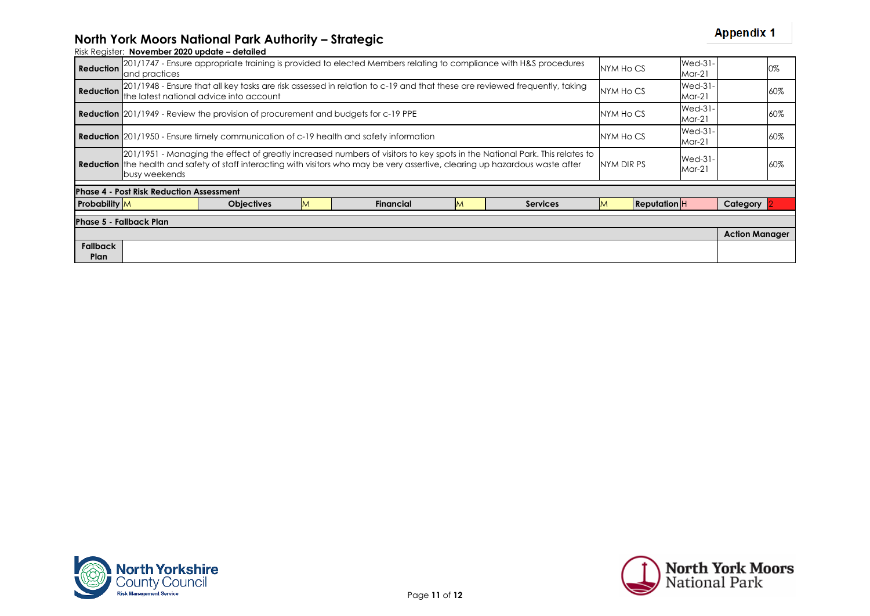## **North York Moors National Park Authority – Strategic**

| <b>Reduction</b>        | Wed-31-<br>201/1747 - Ensure appropriate training is provided to elected Members relating to compliance with H&S procedures<br>NYM Ho CS<br>$Mar-21$<br>and practices                                                                                                                 |                                                                                                                                                                      |           |                                                                                               |                          |                 |     |                                  |                            |                       | 0%  |
|-------------------------|---------------------------------------------------------------------------------------------------------------------------------------------------------------------------------------------------------------------------------------------------------------------------------------|----------------------------------------------------------------------------------------------------------------------------------------------------------------------|-----------|-----------------------------------------------------------------------------------------------|--------------------------|-----------------|-----|----------------------------------|----------------------------|-----------------------|-----|
| Reduction               |                                                                                                                                                                                                                                                                                       | 201/1948 - Ensure that all key tasks are risk assessed in relation to c-19 and that these are reviewed frequently, taking<br>the latest national advice into account | NYM Ho CS |                                                                                               | <b>Wed-31-</b><br>Mar-21 |                 | 60% |                                  |                            |                       |     |
|                         | <b>Reduction</b> 201/1949 - Review the provision of procurement and budgets for c-19 PPE                                                                                                                                                                                              |                                                                                                                                                                      |           |                                                                                               |                          |                 |     |                                  | <b>Wed-31-</b><br>Mar-21   |                       | 60% |
|                         |                                                                                                                                                                                                                                                                                       |                                                                                                                                                                      |           | <b>Reduction</b> 201/1950 - Ensure timely communication of c-19 health and safety information |                          |                 |     | Wed-31-<br>NYM Ho CS<br>$Mar-21$ |                            | 60%                   |     |
|                         | 201/1951 - Managing the effect of greatly increased numbers of visitors to key spots in the National Park. This relates to<br><b>Reduction</b> the health and safety of staff interacting with visitors who may be very assertive, clearing up hazardous waste after<br>busy weekends |                                                                                                                                                                      |           |                                                                                               |                          |                 |     | NYM DIR PS                       | <b>Wed-31-</b><br>$Mar-21$ |                       | 60% |
|                         | <b>Phase 4 - Post Risk Reduction Assessment</b>                                                                                                                                                                                                                                       |                                                                                                                                                                      |           |                                                                                               |                          |                 |     |                                  |                            |                       |     |
| <b>Probability</b> M    |                                                                                                                                                                                                                                                                                       | <b>Objectives</b>                                                                                                                                                    | M         | <b>Financial</b>                                                                              | M                        | <b>Services</b> |     | <b>Reputation</b>                |                            | Category              |     |
|                         | <b>Phase 5 - Fallback Plan</b>                                                                                                                                                                                                                                                        |                                                                                                                                                                      |           |                                                                                               |                          |                 |     |                                  |                            |                       |     |
|                         |                                                                                                                                                                                                                                                                                       |                                                                                                                                                                      |           |                                                                                               |                          |                 |     |                                  |                            | <b>Action Manager</b> |     |
| <b>Fallback</b><br>Plan |                                                                                                                                                                                                                                                                                       |                                                                                                                                                                      |           |                                                                                               |                          |                 |     |                                  |                            |                       |     |



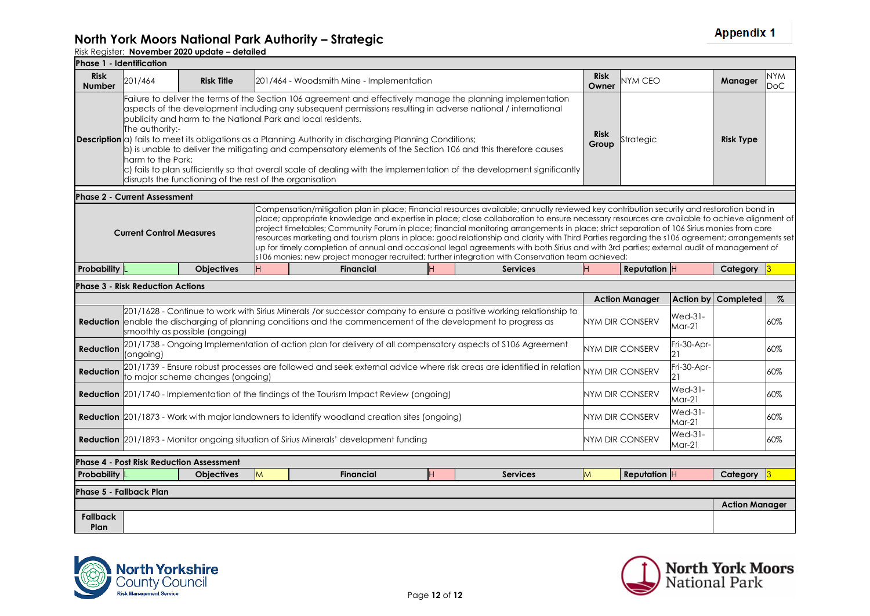#### **North York Moors National Park Authority – Strategic**

|                              | Phase 1 - Identification                                                                                                                                                                                                                                                                                                                                                                                                                                                                                                                                                                                                                                                                                                                                                                                                                                                       |                                                                                                   |   |                                                                                                                                                                                                                                       |   |                 |   |                        |                             |                       |            |
|------------------------------|--------------------------------------------------------------------------------------------------------------------------------------------------------------------------------------------------------------------------------------------------------------------------------------------------------------------------------------------------------------------------------------------------------------------------------------------------------------------------------------------------------------------------------------------------------------------------------------------------------------------------------------------------------------------------------------------------------------------------------------------------------------------------------------------------------------------------------------------------------------------------------|---------------------------------------------------------------------------------------------------|---|---------------------------------------------------------------------------------------------------------------------------------------------------------------------------------------------------------------------------------------|---|-----------------|---|------------------------|-----------------------------|-----------------------|------------|
| <b>Risk</b><br><b>Number</b> | 201/464                                                                                                                                                                                                                                                                                                                                                                                                                                                                                                                                                                                                                                                                                                                                                                                                                                                                        | <b>Risk</b><br><b>Risk Title</b><br>201/464 - Woodsmith Mine - Implementation<br>NYM CEO<br>Owner |   |                                                                                                                                                                                                                                       |   |                 |   |                        |                             | Manager               | NYM<br>DoC |
|                              | Failure to deliver the terms of the Section 106 agreement and effectively manage the planning implementation<br>aspects of the development including any subsequent permissions resulting in adverse national / international<br>publicity and harm to the National Park and local residents.<br>The authority:-<br><b>Risk</b><br><b>Description</b> $\alpha$ fails to meet its obligations as a Planning Authority in discharging Planning Conditions;<br>Strategic<br>Group<br>b) is unable to deliver the mitigating and compensatory elements of the Section 106 and this therefore causes<br>harm to the Park:<br>$\vert c \rangle$ fails to plan sufficiently so that overall scale of dealing with the implementation of the development significantly<br>disrupts the functioning of the rest of the organisation                                                     |                                                                                                   |   |                                                                                                                                                                                                                                       |   |                 |   |                        |                             | <b>Risk Type</b>      |            |
|                              | <b>Phase 2 - Current Assessment</b>                                                                                                                                                                                                                                                                                                                                                                                                                                                                                                                                                                                                                                                                                                                                                                                                                                            |                                                                                                   |   |                                                                                                                                                                                                                                       |   |                 |   |                        |                             |                       |            |
|                              | Compensation/mitigation plan in place; Financial resources available; annually reviewed key contribution security and restoration bond in<br>place; appropriate knowledge and expertise in place; close collaboration to ensure necessary resources are available to achieve alianment of<br>project timetables; Community Forum in place; financial monitoring arrangements in place; strict separation of 106 Sirius monies from core<br><b>Current Control Measures</b><br>resources marketing and tourism plans in place; good relationship and clarity with Third Parties regarding the s106 agreement; arrangements set<br>up for timely completion of annual and occasional legal agreements with both Sirius and with 3rd parties; external audit of management of<br>s106 monies; new project manager recruited; further integration with Conservation team achieved; |                                                                                                   |   |                                                                                                                                                                                                                                       |   |                 |   |                        |                             |                       |            |
| <b>Probability</b> L         |                                                                                                                                                                                                                                                                                                                                                                                                                                                                                                                                                                                                                                                                                                                                                                                                                                                                                | <b>Objectives</b>                                                                                 |   | <b>Financial</b>                                                                                                                                                                                                                      |   | <b>Services</b> |   | Reputation $ H $       |                             | Category              |            |
|                              | <b>Phase 3 - Risk Reduction Actions</b>                                                                                                                                                                                                                                                                                                                                                                                                                                                                                                                                                                                                                                                                                                                                                                                                                                        |                                                                                                   |   |                                                                                                                                                                                                                                       |   |                 |   |                        |                             |                       |            |
|                              |                                                                                                                                                                                                                                                                                                                                                                                                                                                                                                                                                                                                                                                                                                                                                                                                                                                                                |                                                                                                   |   |                                                                                                                                                                                                                                       |   |                 |   | <b>Action Manager</b>  | <b>Action by</b>            | Completed             | $\%$       |
|                              |                                                                                                                                                                                                                                                                                                                                                                                                                                                                                                                                                                                                                                                                                                                                                                                                                                                                                | smoothly as possible (ongoing)                                                                    |   | 201/1628 - Continue to work with Sirius Minerals /or successor company to ensure a positive working relationship to<br>Reduction enable the discharging of planning conditions and the commencement of the development to progress as |   |                 |   | <b>NYM DIR CONSERV</b> | <b>Wed-31-</b><br>$Mar-21$  |                       | 60%        |
| <b>Reduction</b>             | (ongoing)                                                                                                                                                                                                                                                                                                                                                                                                                                                                                                                                                                                                                                                                                                                                                                                                                                                                      |                                                                                                   |   | 201/1738 - Ongoing Implementation of action plan for delivery of all compensatory aspects of \$106 Agreement                                                                                                                          |   |                 |   | <b>NYM DIR CONSERV</b> | Fri-30-Apr-<br>121          |                       | 60%        |
| <b>Reduction</b>             |                                                                                                                                                                                                                                                                                                                                                                                                                                                                                                                                                                                                                                                                                                                                                                                                                                                                                | to major scheme changes (ongoing)                                                                 |   | 201/1739 - Ensure robust processes are followed and seek external advice where risk areas are identified in relation                                                                                                                  |   |                 |   | <b>NYM DIR CONSERV</b> | Fri-30-Apr-<br>21           |                       | 60%        |
|                              |                                                                                                                                                                                                                                                                                                                                                                                                                                                                                                                                                                                                                                                                                                                                                                                                                                                                                |                                                                                                   |   | <b>Reduction</b> 201/1740 - Implementation of the findings of the Tourism Impact Review (ongoing)                                                                                                                                     |   |                 |   | NYM DIR CONSERV        | <b>Wed-31-</b><br>Mar-21    |                       | 60%        |
|                              |                                                                                                                                                                                                                                                                                                                                                                                                                                                                                                                                                                                                                                                                                                                                                                                                                                                                                |                                                                                                   |   | <b>Reduction</b> 201/1873 - Work with major landowners to identify woodland creation sites (ongoing)                                                                                                                                  |   |                 |   | NYM DIR CONSERV        | <b>Wed-31-</b><br>Mar-21    |                       | 60%        |
|                              |                                                                                                                                                                                                                                                                                                                                                                                                                                                                                                                                                                                                                                                                                                                                                                                                                                                                                |                                                                                                   |   | <b>Reduction</b> 201/1893 - Monitor ongoing situation of Sirius Minerals' development funding                                                                                                                                         |   |                 |   | NYM DIR CONSERV        | <b>Wed-31-</b><br>$M$ ar-21 |                       | 60%        |
|                              |                                                                                                                                                                                                                                                                                                                                                                                                                                                                                                                                                                                                                                                                                                                                                                                                                                                                                | <b>Phase 4 - Post Risk Reduction Assessment</b>                                                   |   |                                                                                                                                                                                                                                       |   |                 |   |                        |                             |                       |            |
| Probability L                |                                                                                                                                                                                                                                                                                                                                                                                                                                                                                                                                                                                                                                                                                                                                                                                                                                                                                | <b>Objectives</b>                                                                                 | M | <b>Financial</b>                                                                                                                                                                                                                      | H | <b>Services</b> | M | <b>Reputation</b> $H$  |                             | Category              |            |
|                              | <b>Phase 5 - Fallback Plan</b>                                                                                                                                                                                                                                                                                                                                                                                                                                                                                                                                                                                                                                                                                                                                                                                                                                                 |                                                                                                   |   |                                                                                                                                                                                                                                       |   |                 |   |                        |                             |                       |            |
| <b>Fallback</b><br>Plan      |                                                                                                                                                                                                                                                                                                                                                                                                                                                                                                                                                                                                                                                                                                                                                                                                                                                                                |                                                                                                   |   |                                                                                                                                                                                                                                       |   |                 |   |                        |                             | <b>Action Manager</b> |            |



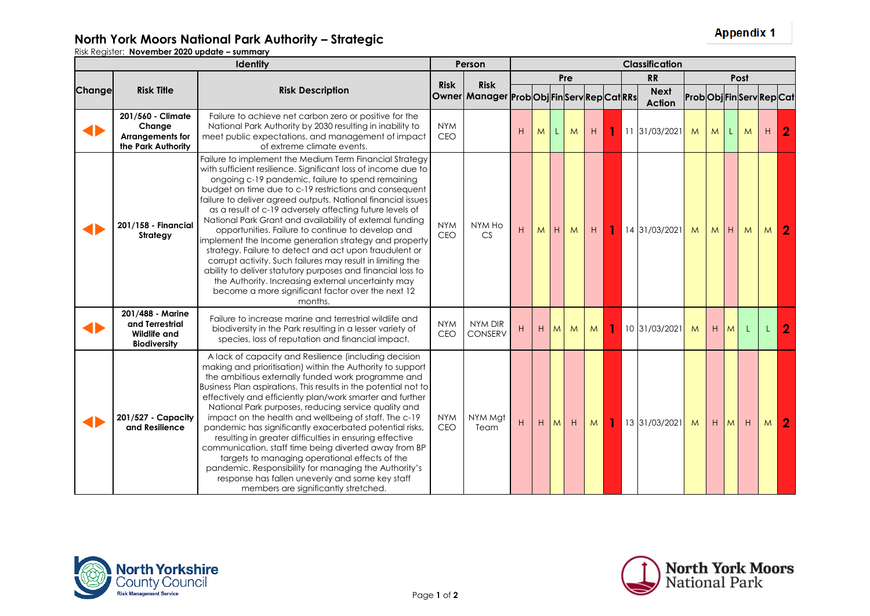Risk Register: **November 2020 update – summary**

|        |                                                                            | Person                                                                                                                                                                                                                                                                                                                                                                                                                                                                                                                                                                                                                                                                                                                                                                                                                                                     | <b>Classification</b>    |                                                                  |     |   |   |   |                |   |                              |                           |   |                |   |                |                |
|--------|----------------------------------------------------------------------------|------------------------------------------------------------------------------------------------------------------------------------------------------------------------------------------------------------------------------------------------------------------------------------------------------------------------------------------------------------------------------------------------------------------------------------------------------------------------------------------------------------------------------------------------------------------------------------------------------------------------------------------------------------------------------------------------------------------------------------------------------------------------------------------------------------------------------------------------------------|--------------------------|------------------------------------------------------------------|-----|---|---|---|----------------|---|------------------------------|---------------------------|---|----------------|---|----------------|----------------|
|        |                                                                            |                                                                                                                                                                                                                                                                                                                                                                                                                                                                                                                                                                                                                                                                                                                                                                                                                                                            |                          |                                                                  | Pre |   |   |   |                |   | <b>RR</b>                    | Post                      |   |                |   |                |                |
| Change | <b>Risk Title</b>                                                          | <b>Risk Description</b>                                                                                                                                                                                                                                                                                                                                                                                                                                                                                                                                                                                                                                                                                                                                                                                                                                    | <b>Risk</b>              | <b>Risk</b><br>Owner   Manager   Prob Obj   Fin Serv Rep Cat RRs |     |   |   |   |                |   | <b>Next</b><br><b>Action</b> | Prob Obj Fin Serv Rep Cat |   |                |   |                |                |
| ◀▶     | 201/560 - Climate<br>Change<br>Arrangements for<br>the Park Authority      | Failure to achieve net carbon zero or positive for the<br>National Park Authority by 2030 resulting in inability to<br>meet public expectations, and management of impact<br>of extreme climate events.                                                                                                                                                                                                                                                                                                                                                                                                                                                                                                                                                                                                                                                    | <b>NYM</b><br>CEO        |                                                                  | H   | M | L | M | H              | 1 | 11 31/03/2021                | M                         | M | L.             | M | H              | $\overline{2}$ |
|        | 201/158 - Financial<br>Strategy                                            | Failure to implement the Medium Term Financial Strategy<br>with sufficient resilience. Significant loss of income due to<br>ongoing c-19 pandemic, failure to spend remaining<br>budget on time due to c-19 restrictions and consequent<br>failure to deliver agreed outputs. National financial issues<br>as a result of c-19 adversely affecting future levels of<br>National Park Grant and availability of external funding<br>opportunities. Failure to continue to develop and<br>implement the Income generation strategy and property<br>strategy. Failure to detect and act upon fraudulent or<br>corrupt activity. Such failures may result in limiting the<br>ability to deliver statutory purposes and financial loss to<br>the Authority. Increasing external uncertainty may<br>become a more significant factor over the next 12<br>months. | <b>NYM</b><br>CEO        | NYM Ho<br>CS                                                     | H   | M | H | M | H              |   | 14 31/03/2021                | M                         | M | H              | M | M.             | 2              |
|        | 201/488 - Marine<br>and Terrestrial<br>Wildlife and<br><b>Biodiversity</b> | Failure to increase marine and terrestrial wildlife and<br>biodiversity in the Park resulting in a lesser variety of<br>species, loss of reputation and financial impact.                                                                                                                                                                                                                                                                                                                                                                                                                                                                                                                                                                                                                                                                                  | <b>NYM</b><br>CEO        | NYM DIR<br><b>CONSERV</b>                                        | H   | H | M | M | M <sub>1</sub> |   | 10 31/03/2021                | M                         | H | M <sub>l</sub> |   |                | $\overline{2}$ |
|        | 201/527 - Capacity<br>and Resilience                                       | A lack of capacity and Resilience (including decision<br>making and prioritisation) within the Authority to support<br>the ambitious externally funded work programme and<br>Business Plan aspirations. This results in the potential not to<br>effectively and efficiently plan/work smarter and further<br>National Park purposes, reducing service quality and<br>impact on the health and wellbeing of staff. The c-19<br>pandemic has significantly exacerbated potential risks,<br>resulting in greater difficulties in ensuring effective<br>communication, staff time being diverted away from BP<br>targets to managing operational effects of the<br>pandemic. Responsibility for managing the Authority's<br>response has fallen unevenly and some key staff<br>members are significantly stretched.                                            | <b>NYM</b><br><b>CEO</b> | NYM Mgt<br>Team                                                  | H   | H | M | H | M              |   | 13 31/03/2021                | M                         | H | M <sub>1</sub> | H | M <sub>1</sub> | $\overline{2}$ |